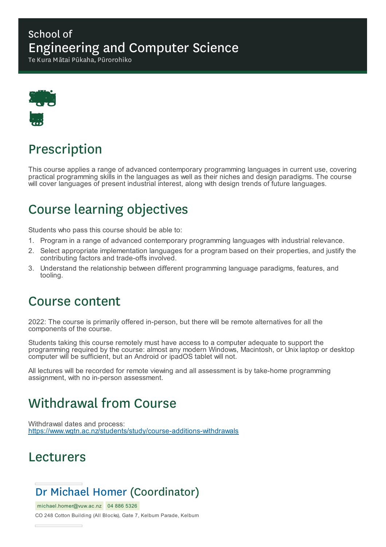### School of Engineering and Computer Science

Te Kura Mātai Pūkaha, Pūrorohiko



# Prescription

This course applies a range of advanced contemporary programming languages in current use, covering practical programming skills in the languages as well as their niches and design paradigms. The course will cover languages of present industrial interest, along with design trends of future languages.

## Course learning objectives

Students who pass this course should be able to:

- 1. Program in a range of advanced contemporary programming languages with industrial relevance.
- 2. Select appropriate implementation languages for a program based on their properties, and justify the contributing factors and trade-offs involved.
- 3. Understand the relationship between different programming language paradigms, features, and tooling.

### Course content

2022: The course is primarily offered in-person, but there will be remote alternatives for all the components of the course.

Students taking this course remotely must have access to a computer adequate to support the programming required by the course: almost any modern Windows, Macintosh, or Unix laptop or desktop computer will be sufficient, but an Android or ipadOS tablet will not.

All lectures will be recorded for remote viewing and all assessment is by take-home programming assignment, with no in-person assessment.

## Withdrawal from Course

Withdrawal dates and process: https://www.wgtn.ac.nz/students/study/course-additions-withdrawals

## Lecturers

## Dr Michael Homer (Coordinator)

michael.homer@vuw.ac.nz 04 886 5326

CO 248 Cotton Building (All Blocks), Gate 7, Kelburn Parade, Kelburn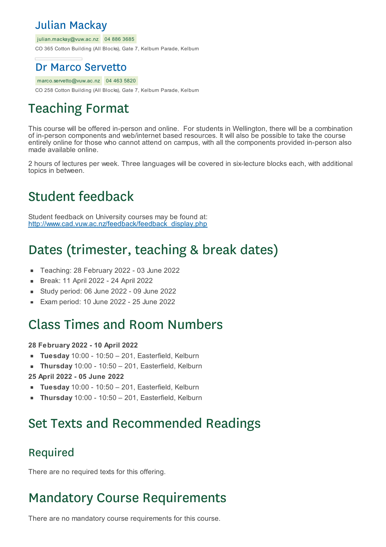## Julian Mackay

julian.mackay@vuw.ac.nz 04 886 3685

CO 365 Cotton Building (All Blocks), Gate 7, Kelburn Parade, Kelburn

### Dr Marco Servetto

marco.servetto@vuw.ac.nz 04 463 5820

CO 258 Cotton Building (All Blocks), Gate 7, Kelburn Parade, Kelburn

# Teaching Format

This course will be offered in-person and online. For students in Wellington, there will be a combination of in-person components and web/internet based resources. It will also be possible to take the course entirely online for those who cannot attend on campus, with all the components provided in-person also made available online.

2 hours of lectures per week. Three languages will be covered in six-lecture blocks each, with additional topics in between.

# Student feedback

Student feedback on University courses may be found at: http://www.cad.vuw.ac.nz/feedback/feedback\_display.php

# Dates (trimester, teaching & break dates)

- Teaching: 28 February 2022 03 June 2022  $\blacksquare$
- Break: 11 April 2022 24 April 2022  $\blacksquare$
- Study period: 06 June 2022 09 June 2022
- Exam period: 10 June 2022 25 June 2022

## Class Times and Room Numbers

#### **28 February 2022 - 10 April 2022**

- **Tuesday** 10:00 10:50 201, Easterfield, Kelburn
- **Thursday** 10:00 10:50 201, Easterfield, Kelburn

#### **25 April 2022 - 05 June 2022**

- **Tuesday** 10:00 10:50 201, Easterfield, Kelburn
- **Thursday** 10:00 10:50 201, Easterfield, Kelburn

## Set Texts and Recommended Readings

### Required

There are no required texts for this offering.

## Mandatory Course Requirements

There are no mandatory course requirements for this course.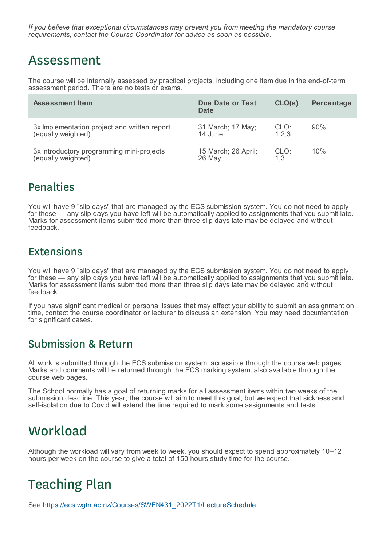*If you believe that exceptional circumstances may prevent you from meeting the mandatory course requirements, contact the Course Coordinator for advice as soon as possible.*

## Assessment

The course will be internally assessed by practical projects, including one item due in the end-of-term assessment period. There are no tests or exams.

| <b>Assessment Item</b>                       | Due Date or Test<br>Date | CLO(s)  | Percentage |
|----------------------------------------------|--------------------------|---------|------------|
| 3x Implementation project and written report | 31 March; 17 May;        | CLO:    | 90%        |
| (equally weighted)                           | 14 June                  | 1, 2, 3 |            |
| 3x introductory programming mini-projects    | 15 March; 26 April;      | CLO:    | 10%        |
| (equally weighted)                           | 26 May                   | 1,3     |            |

### Penalties

You will have 9 "slip days" that are managed by the ECS submission system. You do not need to apply for these — any slip days you have left will be automatically applied to assignments that you submit late. Marks for assessment items submitted more than three slip days late may be delayed and without feedback.

## **Extensions**

You will have 9 "slip days" that are managed by the ECS submission system. You do not need to apply for these — any slip days you have left will be automatically applied to assignments that you submit late. Marks for assessment items submitted more than three slip days late may be delayed and without feedback.

If you have significant medical or personal issues that may affect your ability to submit an assignment on time, contact the course coordinator or lecturer to discuss an extension. You may need documentation for significant cases.

### Submission & Return

All work is submitted through the ECS submission system, accessible through the course web pages. Marks and comments will be returned through the ECS marking system, also available through the course web pages.

The School normally has a goal of returning marks for all assessment items within two weeks of the submission deadline. This year, the course will aim to meet this goal, but we expect that sickness and self-isolation due to Covid will extend the time required to mark some assignments and tests.

## **Workload**

Although the workload will vary from week to week, you should expect to spend approximately 10–12 hours per week on the course to give a total of 150 hours study time for the course.

# Teaching Plan

See https://ecs.wgtn.ac.nz/Courses/SWEN431\_2022T1/LectureSchedule